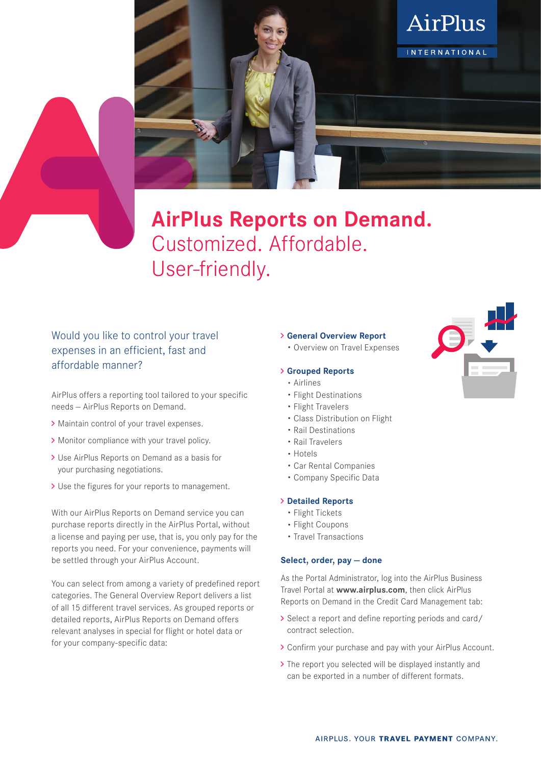

# **AirPlus Reports on Demand.** Customized. Affordable. User-friendly.

## Would you like to control your travel expenses in an efficient, fast and affordable manner?

AirPlus offers a reporting tool tailored to your specific needs — AirPlus Reports on Demand.

- > Maintain control of your travel expenses.
- > Monitor compliance with your travel policy.
- Use AirPlus Reports on Demand as a basis for your purchasing negotiations.
- > Use the figures for your reports to management.

With our AirPlus Reports on Demand service you can purchase reports directly in the AirPlus Portal, without a license and paying per use, that is, you only pay for the reports you need. For your convenience, payments will be settled through your AirPlus Account.

You can select from among a variety of predefined report categories. The General Overview Report delivers a list of all 15 different travel services. As grouped reports or detailed reports, AirPlus Reports on Demand offers relevant analyses in special for flight or hotel data or for your company-specific data:

#### **General Overview Report**

• Overview on Travel Expenses

#### **Grouped Reports**

- Airlines
- Flight Destinations
- Flight Travelers
- Class Distribution on Flight
- Rail Destinations
- Rail Travelers
- Hotels
- Car Rental Companies
- Company Specific Data

#### **Detailed Reports**

- Flight Tickets
- Flight Coupons
- Travel Transactions

#### **Select, order, pay — done**

As the Portal Administrator, log into the AirPlus Business Travel Portal at **www.airplus.com**, then click AirPlus Reports on Demand in the Credit Card Management tab:

- > Select a report and define reporting periods and card/ contract selection.
- Confirm your purchase and pay with your AirPlus Account.
- > The report you selected will be displayed instantly and can be exported in a number of different formats.